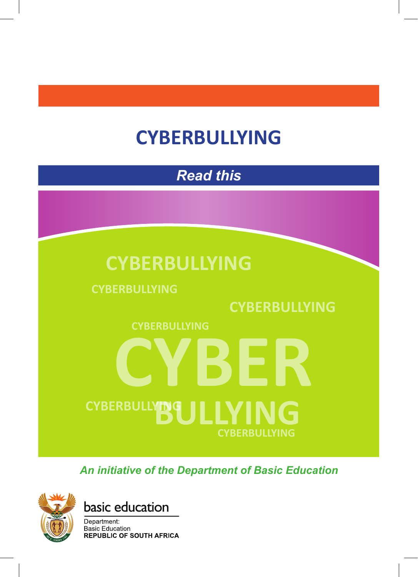# **CYBERBULLYING**

*Read this*

## **CYBERBULLYING**

**CYBERBULLYING**

## **CYBERBULLYING**

**CYBERBULLYING CYBER** 

*An initiative of the Department of Basic Education*

**BULLYING**

**CYBERBULLYING**





**CYBERBULLYING**

Department: **Basic Education REPUBLIC OF SOUTH AFRICA**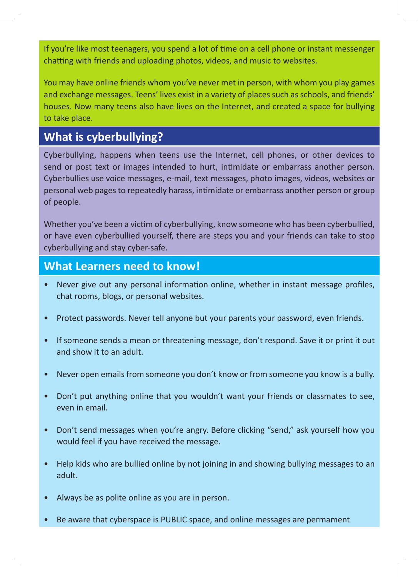If you're like most teenagers, you spend a lot of time on a cell phone or instant messenger chatting with friends and uploading photos, videos, and music to websites.

You may have online friends whom you've never met in person, with whom you play games and exchange messages. Teens' lives exist in a variety of places such as schools, and friends' houses. Now many teens also have lives on the Internet, and created a space for bullying to take place.

## **What is cyberbullying?**

Cyberbullying, happens when teens use the Internet, cell phones, or other devices to send or post text or images intended to hurt, intimidate or embarrass another person. Cyberbullies use voice messages, e-mail, text messages, photo images, videos, websites or personal web pages to repeatedly harass, intimidate or embarrass another person or group of people.

Whether you've been a victim of cyberbullying, know someone who has been cyberbullied, or have even cyberbullied yourself, there are steps you and your friends can take to stop cyberbullying and stay cyber-safe.

### **What Learners need to know!**

- Never give out any personal information online, whether in instant message profiles, chat rooms, blogs, or personal websites.
- Protect passwords. Never tell anyone but your parents your password, even friends.
- If someone sends a mean or threatening message, don't respond. Save it or print it out and show it to an adult.
- Never open emails from someone you don't know or from someone you know is a bully.
- Don't put anything online that you wouldn't want your friends or classmates to see, even in email.
- Don't send messages when you're angry. Before clicking "send," ask yourself how you would feel if you have received the message.
- Help kids who are bullied online by not joining in and showing bullying messages to an adult.
- Always be as polite online as you are in person.
- Be aware that cyberspace is PUBLIC space, and online messages are permament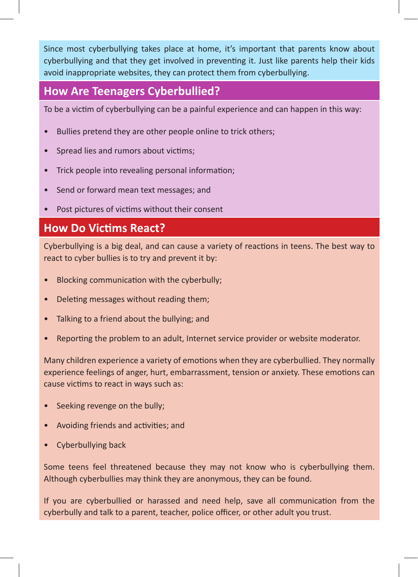Since most cyberbullying takes place at home, it's important that parents know about cyberbullying and that they get involved in preventing it. Just like parents help their kids avoid inappropriate websites, they can protect them from cyberbullying.

## **How Are Teenagers Cyberbullied?**

To be a victim of cyberbullying can be a painful experience and can happen in this way:

- Bullies pretend they are other people online to trick others;
- Spread lies and rumors about victims;
- Trick people into revealing personal information;
- Send or forward mean text messages; and
- Post pictures of victims without their consent

## **How Do Victims React?**

Cyberbullying is a big deal, and can cause a variety of reactions in teens. The best way to react to cyber bullies is to try and prevent it by:

- Blocking communication with the cyberbully;
- Deleting messages without reading them;
- Talking to a friend about the bullying; and
- Reporting the problem to an adult, Internet service provider or website moderator.

Many children experience a variety of emotions when they are cyberbullied. They normally experience feelings of anger, hurt, embarrassment, tension or anxiety. These emotions can cause victims to react in ways such as:

- Seeking revenge on the bully;
- Avoiding friends and activities; and
- Cyberbullying back

Some teens feel threatened because they may not know who is cyberbullying them. Although cyberbullies may think they are anonymous, they can be found.

If you are cyberbullied or harassed and need help, save all communication from the cyberbully and talk to a parent, teacher, police officer, or other adult you trust.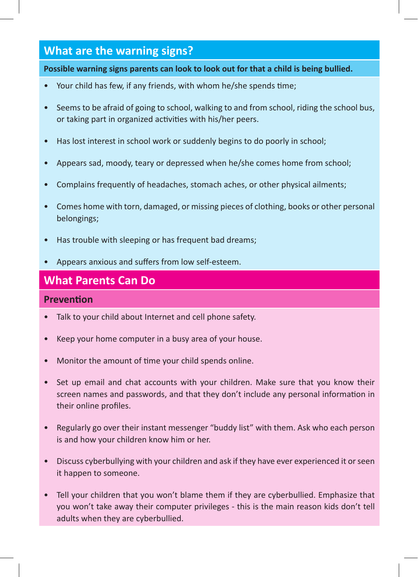## **What are the warning signs?**

**Possible warning signs parents can look to look out for that a child is being bullied.**

- Your child has few, if any friends, with whom he/she spends time;
- Seems to be afraid of going to school, walking to and from school, riding the school bus, or taking part in organized activities with his/her peers.
- Has lost interest in school work or suddenly begins to do poorly in school;
- Appears sad, moody, teary or depressed when he/she comes home from school;
- Complains frequently of headaches, stomach aches, or other physical ailments;
- Comes home with torn, damaged, or missing pieces of clothing, books or other personal belongings;
- Has trouble with sleeping or has frequent bad dreams;
- Appears anxious and suffers from low self-esteem.

## **What Parents Can Do**

#### **Prevention**

- Talk to your child about Internet and cell phone safety.
- Keep your home computer in a busy area of your house.
- Monitor the amount of time your child spends online.
- Set up email and chat accounts with your children. Make sure that you know their screen names and passwords, and that they don't include any personal information in their online profiles.
- Regularly go over their instant messenger "buddy list" with them. Ask who each person is and how your children know him or her.
- Discuss cyberbullying with your children and ask if they have ever experienced it or seen it happen to someone.
- Tell your children that you won't blame them if they are cyberbullied. Emphasize that you won't take away their computer privileges - this is the main reason kids don't tell adults when they are cyberbullied.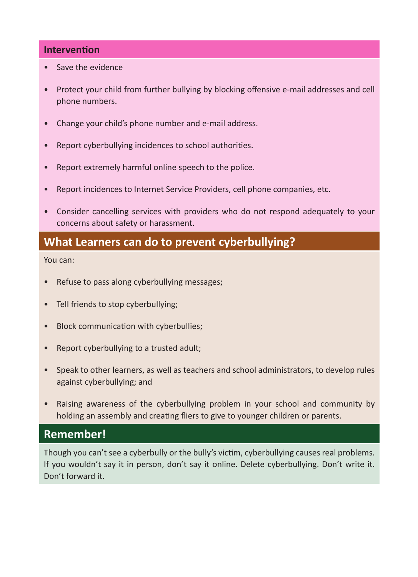#### **Intervention**

- Save the evidence
- Protect your child from further bullying by blocking offensive e-mail addresses and cell phone numbers.
- Change your child's phone number and e-mail address.
- Report cyberbullying incidences to school authorities.
- Report extremely harmful online speech to the police.
- Report incidences to Internet Service Providers, cell phone companies, etc.
- Consider cancelling services with providers who do not respond adequately to your concerns about safety or harassment.

## **What Learners can do to prevent cyberbullying?**

You can:

- Refuse to pass along cyberbullying messages;
- Tell friends to stop cyberbullying;
- Block communication with cyberbullies;
- Report cyberbullying to a trusted adult;
- Speak to other learners, as well as teachers and school administrators, to develop rules against cyberbullying; and
- Raising awareness of the cyberbullying problem in your school and community by holding an assembly and creating fliers to give to younger children or parents.

## **Remember!**

Though you can't see a cyberbully or the bully's victim, cyberbullying causes real problems. If you wouldn't say it in person, don't say it online. Delete cyberbullying. Don't write it. Don't forward it.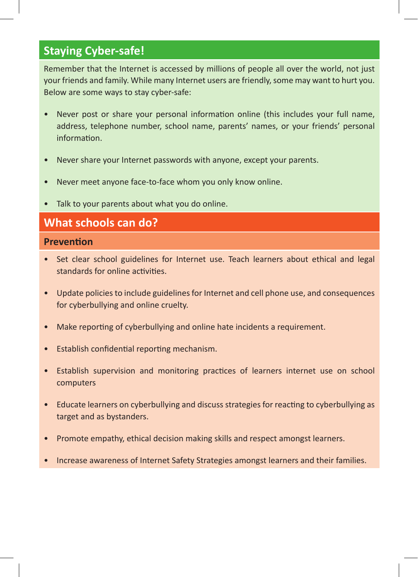## **Staying Cyber-safe!**

Remember that the Internet is accessed by millions of people all over the world, not just your friends and family. While many Internet users are friendly, some may want to hurt you. Below are some ways to stay cyber-safe:

- Never post or share your personal information online (this includes your full name, address, telephone number, school name, parents' names, or your friends' personal information.
- Never share your Internet passwords with anyone, except your parents.
- Never meet anyone face-to-face whom you only know online.
- Talk to your parents about what you do online.

### **What schools can do?**

#### **Prevention**

- Set clear school guidelines for Internet use. Teach learners about ethical and legal standards for online activities.
- Update policies to include guidelines for Internet and cell phone use, and consequences for cyberbullying and online cruelty.
- Make reporting of cyberbullying and online hate incidents a requirement.
- Establish confidential reporting mechanism.
- Establish supervision and monitoring practices of learners internet use on school computers
- Educate learners on cyberbullying and discuss strategies for reacting to cyberbullying as target and as bystanders.
- Promote empathy, ethical decision making skills and respect amongst learners.
- Increase awareness of Internet Safety Strategies amongst learners and their families.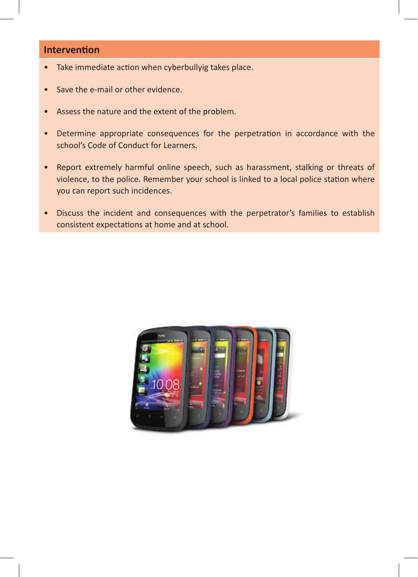#### **Intervention**

- Take immediate action when cyberbullyig takes place.
- Save the e-mail or other evidence.
- Assess the nature and the extent of the problem.
- Determine appropriate consequences for the perpetration in accordance with the school's Code of Conduct for Learners.
- Report extremely harmful online speech, such as harassment, stalking or threats of violence, to the police. Remember your school is linked to a local police station where you can report such incidences.
- Discuss the incident and consequences with the perpetrator's families to establish consistent expectations at home and at school.